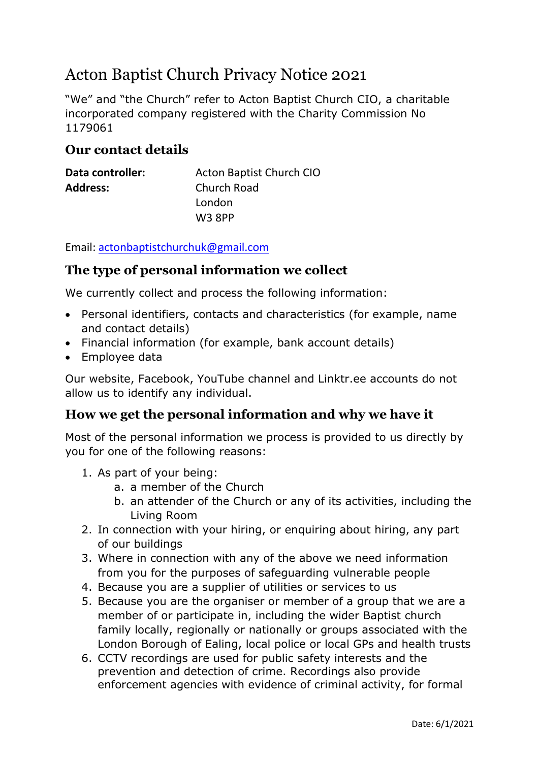# Acton Baptist Church Privacy Notice 2021

"We" and "the Church" refer to Acton Baptist Church CIO, a charitable incorporated company registered with the Charity Commission No 1179061

#### **Our contact details**

| Data controller: | Acton Baptist Church CIO |
|------------------|--------------------------|
| <b>Address:</b>  | <b>Church Road</b>       |
|                  | London                   |
|                  | <b>W3 8PP</b>            |

Email: [actonbaptistchurchuk@gmail.com](mailto:actonbaptistchurchuk@gmail.com)

#### **The type of personal information we collect**

We currently collect and process the following information:

- Personal identifiers, contacts and characteristics (for example, name and contact details)
- Financial information (for example, bank account details)
- Employee data

Our website, Facebook, YouTube channel and Linktr.ee accounts do not allow us to identify any individual.

# **How we get the personal information and why we have it**

Most of the personal information we process is provided to us directly by you for one of the following reasons:

- 1. As part of your being:
	- a. a member of the Church
	- b. an attender of the Church or any of its activities, including the Living Room
- 2. In connection with your hiring, or enquiring about hiring, any part of our buildings
- 3. Where in connection with any of the above we need information from you for the purposes of safeguarding vulnerable people
- 4. Because you are a supplier of utilities or services to us
- 5. Because you are the organiser or member of a group that we are a member of or participate in, including the wider Baptist church family locally, regionally or nationally or groups associated with the London Borough of Ealing, local police or local GPs and health trusts
- 6. CCTV recordings are used for public safety interests and the prevention and detection of crime. Recordings also provide enforcement agencies with evidence of criminal activity, for formal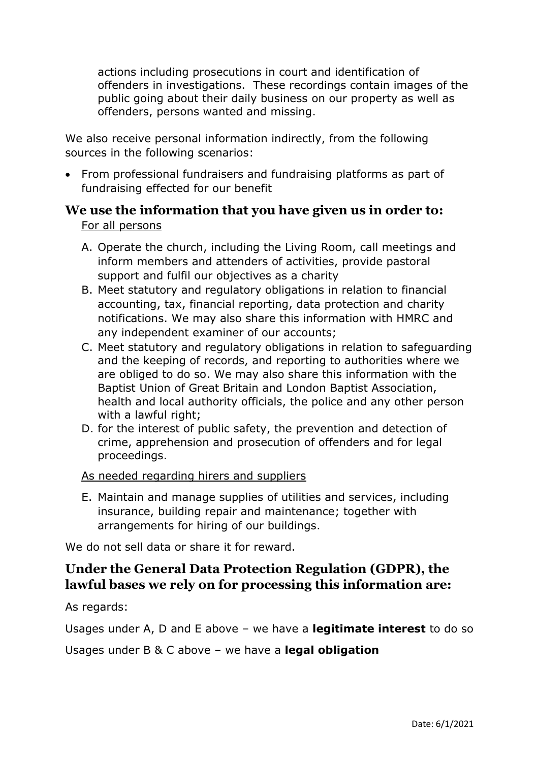actions including prosecutions in court and identification of offenders in investigations. These recordings contain images of the public going about their daily business on our property as well as offenders, persons wanted and missing.

We also receive personal information indirectly, from the following sources in the following scenarios:

• From professional fundraisers and fundraising platforms as part of fundraising effected for our benefit

# **We use the information that you have given us in order to:** For all persons

- A. Operate the church, including the Living Room, call meetings and inform members and attenders of activities, provide pastoral support and fulfil our objectives as a charity
- B. Meet statutory and regulatory obligations in relation to financial accounting, tax, financial reporting, data protection and charity notifications. We may also share this information with HMRC and any independent examiner of our accounts;
- C. Meet statutory and regulatory obligations in relation to safeguarding and the keeping of records, and reporting to authorities where we are obliged to do so. We may also share this information with the Baptist Union of Great Britain and London Baptist Association, health and local authority officials, the police and any other person with a lawful right;
- D. for the interest of public safety, the prevention and detection of crime, apprehension and prosecution of offenders and for legal proceedings.

#### As needed regarding hirers and suppliers

E. Maintain and manage supplies of utilities and services, including insurance, building repair and maintenance; together with arrangements for hiring of our buildings.

We do not sell data or share it for reward.

# **Under the General Data Protection Regulation (GDPR), the lawful bases we rely on for processing this information are:**

As regards:

Usages under A, D and E above – we have a **legitimate interest** to do so

Usages under B & C above – we have a **legal obligation**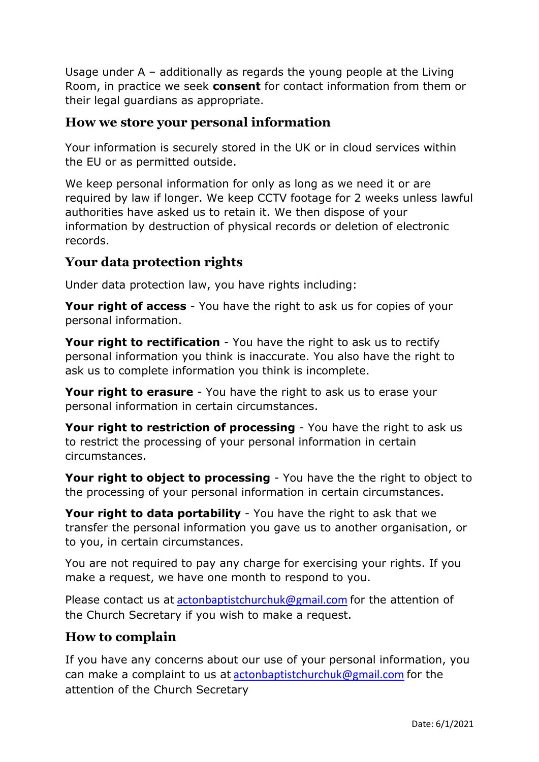Usage under A – additionally as regards the young people at the Living Room, in practice we seek **consent** for contact information from them or their legal guardians as appropriate.

### **How we store your personal information**

Your information is securely stored in the UK or in cloud services within the EU or as permitted outside.

We keep personal information for only as long as we need it or are required by law if longer. We keep CCTV footage for 2 weeks unless lawful authorities have asked us to retain it. We then dispose of your information by destruction of physical records or deletion of electronic records.

# **Your data protection rights**

Under data protection law, you have rights including:

**Your right of access** - You have the right to ask us for copies of your personal information.

**Your right to rectification** - You have the right to ask us to rectify personal information you think is inaccurate. You also have the right to ask us to complete information you think is incomplete.

**Your right to erasure** - You have the right to ask us to erase your personal information in certain circumstances.

**Your right to restriction of processing** - You have the right to ask us to restrict the processing of your personal information in certain circumstances.

**Your right to object to processing** - You have the the right to object to the processing of your personal information in certain circumstances.

**Your right to data portability** - You have the right to ask that we transfer the personal information you gave us to another organisation, or to you, in certain circumstances.

You are not required to pay any charge for exercising your rights. If you make a request, we have one month to respond to you.

Please contact us at [actonbaptistchurchuk@gmail.com](mailto:actonbaptistchurchuk@gmail.com) for the attention of the Church Secretary if you wish to make a request.

# **How to complain**

If you have any concerns about our use of your personal information, you can make a complaint to us at [actonbaptistchurchuk@gmail.com](mailto:actonbaptistchurchuk@gmail.com) for the attention of the Church Secretary